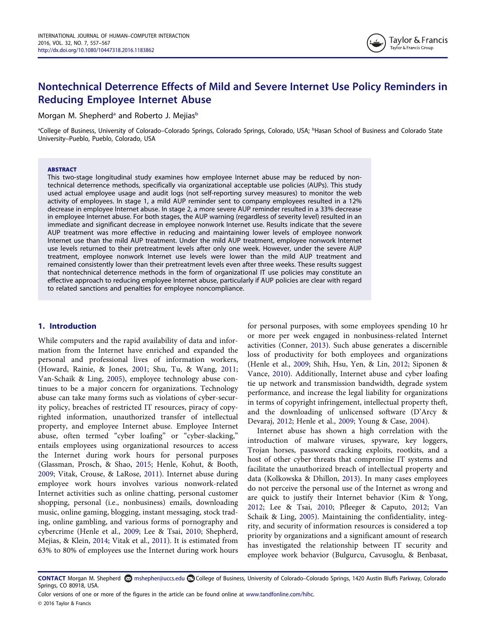

# Nontechnical Deterrence Effects of Mild and Severe Internet Use Policy Reminders in Reducing Employee Internet Abuse

Morg[a](#page-0-0)n M. Shepherd<sup>a</sup> and Ro[b](#page-0-0)erto J. Mejias<sup>b</sup>

<span id="page-0-0"></span>aCollege of Business, University of Colorado–Colorado Springs, Colorado Springs, Colorado, USA; bHasan School of Business and Colorado State University–Pueblo, Pueblo, Colorado, USA

#### ABSTRACT

This two-stage longitudinal study examines how employee Internet abuse may be reduced by nontechnical deterrence methods, specifically via organizational acceptable use policies (AUPs). This study used actual employee usage and audit logs (not self-reporting survey measures) to monitor the web activity of employees. In stage 1, a mild AUP reminder sent to company employees resulted in a 12% decrease in employee Internet abuse. In stage 2, a more severe AUP reminder resulted in a 33% decrease in employee Internet abuse. For both stages, the AUP warning (regardless of severity level) resulted in an immediate and significant decrease in employee nonwork Internet use. Results indicate that the severe AUP treatment was more effective in reducing and maintaining lower levels of employee nonwork Internet use than the mild AUP treatment. Under the mild AUP treatment, employee nonwork Internet use levels returned to their pretreatment levels after only one week. However, under the severe AUP treatment, employee nonwork Internet use levels were lower than the mild AUP treatment and remained consistently lower than their pretreatment levels even after three weeks. These results suggest that nontechnical deterrence methods in the form of organizational IT use policies may constitute an effective approach to reducing employee Internet abuse, particularly if AUP policies are clear with regard to related sanctions and penalties for employee noncompliance.

#### 1. Introduction

While computers and the rapid availability of data and information from the Internet have enriched and expanded the personal and professional lives of information workers, (Howard, Rainie, & Jones, [2001;](#page-10-0) Shu, Tu, & Wang, [2011;](#page-10-1) Van-Schaik & Ling, [2005\)](#page-10-2), employee technology abuse continues to be a major concern for organizations. Technology abuse can take many forms such as violations of cyber-security policy, breaches of restricted IT resources, piracy of copyrighted information, unauthorized transfer of intellectual property, and employee Internet abuse. Employee Internet abuse, often termed "cyber loafing" or "cyber-slacking," entails employees using organizational resources to access the Internet during work hours for personal purposes (Glassman, Prosch, & Shao, [2015](#page-10-3); Henle, Kohut, & Booth, [2009](#page-10-4); Vitak, Crouse, & LaRose, [2011\)](#page-10-5). Internet abuse during employee work hours involves various nonwork-related Internet activities such as online chatting, personal customer shopping, personal (i.e., nonbusiness) emails, downloading music, online gaming, blogging, instant messaging, stock trading, online gambling, and various forms of pornography and cybercrime (Henle et al., [2009](#page-10-4); Lee & Tsai, [2010](#page-10-6); Shepherd, Mejias, & Klein, [2014](#page-10-7); Vitak et al., [2011\)](#page-10-5). It is estimated from 63% to 80% of employees use the Internet during work hours

for personal purposes, with some employees spending 10 hr or more per week engaged in nonbusiness-related Internet activities (Conner, [2013\)](#page-9-0). Such abuse generates a discernible loss of productivity for both employees and organizations (Henle et al., [2009](#page-10-4); Shih, Hsu, Yen, & Lin, [2012](#page-10-8); Siponen & Vance, [2010\)](#page-10-9). Additionally, Internet abuse and cyber loafing tie up network and transmission bandwidth, degrade system performance, and increase the legal liability for organizations in terms of copyright infringement, intellectual property theft, and the downloading of unlicensed software (D'Arcy & Devaraj, [2012](#page-9-1); Henle et al., [2009;](#page-10-4) Young & Case, [2004\)](#page-10-10).

Internet abuse has shown a high correlation with the introduction of malware viruses, spyware, key loggers, Trojan horses, password cracking exploits, rootkits, and a host of other cyber threats that compromise IT systems and facilitate the unauthorized breach of intellectual property and data (Kolkowska & Dhillon, [2013](#page-10-11)). In many cases employees do not perceive the personal use of the Internet as wrong and are quick to justify their Internet behavior (Kim & Yong, [2012](#page-10-12); Lee & Tsai, [2010](#page-10-6); Pfleeger & Caputo, [2012](#page-10-13); Van Schaik & Ling, [2005](#page-10-2)). Maintaining the confidentiality, integrity, and security of information resources is considered a top priority by organizations and a significant amount of research has investigated the relationship between IT security and employee work behavior (Bulgurcu, Cavusoglu, & Benbasat,

CONTACT Morgan M. Shepherd <u>©</u> mshepher@uccs.edu **college of Business**, University of Colorado–Colorado Springs, 1420 Austin Bluffs Parkway, Colorado Springs, CO 80918, USA.

Color versions of one or more of the figures in the article can be found online at [www.tandfonline.com/hihc.](http://www.tandfonline.com/hihc)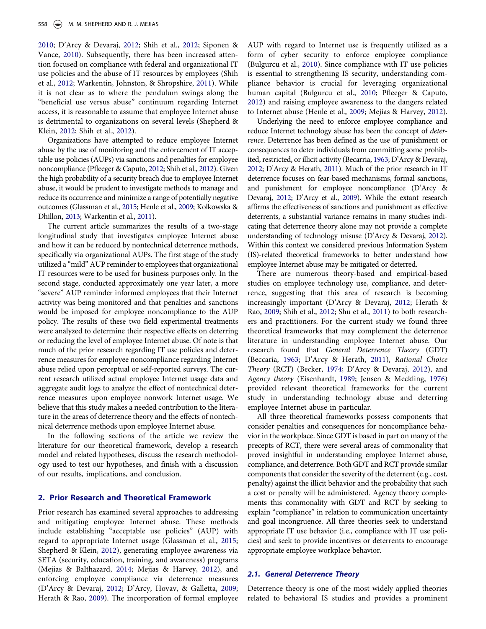[2010](#page-9-2); D'Arcy & Devaraj, [2012;](#page-9-1) Shih et al., [2012;](#page-10-8) Siponen & Vance, [2010\)](#page-10-9). Subsequently, there has been increased attention focused on compliance with federal and organizational IT use policies and the abuse of IT resources by employees (Shih et al., [2012](#page-10-8); Warkentin, Johnston, & Shropshire, [2011\)](#page-10-14). While it is not clear as to where the pendulum swings along the "beneficial use versus abuse" continuum regarding Internet access, it is reasonable to assume that employee Internet abuse is detrimental to organizations on several levels (Shepherd & Klein, [2012](#page-10-15); Shih et al., [2012](#page-10-8)).

Organizations have attempted to reduce employee Internet abuse by the use of monitoring and the enforcement of IT acceptable use policies (AUPs) via sanctions and penalties for employee noncompliance (Pfleeger & Caputo, [2012;](#page-10-13) Shih et al., [2012](#page-10-8)). Given the high probability of a security breach due to employee Internet abuse, it would be prudent to investigate methods to manage and reduce its occurrence and minimize a range of potentially negative outcomes (Glassman et al., [2015](#page-10-3); Henle et al., [2009](#page-10-4); Kolkowska & Dhillon, [2013;](#page-10-11) Warkentin et al., [2011\)](#page-10-14).

The current article summarizes the results of a two-stage longitudinal study that investigates employee Internet abuse and how it can be reduced by nontechnical deterrence methods, specifically via organizational AUPs. The first stage of the study utilized a "mild" AUP reminder to employees that organizational IT resources were to be used for business purposes only. In the second stage, conducted approximately one year later, a more "severe" AUP reminder informed employees that their Internet activity was being monitored and that penalties and sanctions would be imposed for employee noncompliance to the AUP policy. The results of these two field experimental treatments were analyzed to determine their respective effects on deterring or reducing the level of employee Internet abuse. Of note is that much of the prior research regarding IT use policies and deterrence measures for employee noncompliance regarding Internet abuse relied upon perceptual or self-reported surveys. The current research utilized actual employee Internet usage data and aggregate audit logs to analyze the effect of nontechnical deterrence measures upon employee nonwork Internet usage. We believe that this study makes a needed contribution to the literature in the areas of deterrence theory and the effects of nontechnical deterrence methods upon employee Internet abuse.

In the following sections of the article we review the literature for our theoretical framework, develop a research model and related hypotheses, discuss the research methodology used to test our hypotheses, and finish with a discussion of our results, implications, and conclusion.

# 2. Prior Research and Theoretical Framework

Prior research has examined several approaches to addressing and mitigating employee Internet abuse. These methods include establishing "acceptable use policies" (AUP) with regard to appropriate Internet usage (Glassman et al., [2015;](#page-10-3) Shepherd & Klein, [2012\)](#page-10-15), generating employee awareness via SETA (security, education, training, and awareness) programs (Mejias & Balthazard, [2014;](#page-10-16) Mejias & Harvey, [2012\)](#page-10-17), and enforcing employee compliance via deterrence measures (D'Arcy & Devaraj, [2012;](#page-9-1) D'Arcy, Hovav, & Galletta, [2009;](#page-10-18) Herath & Rao, [2009](#page-10-19)). The incorporation of formal employee

AUP with regard to Internet use is frequently utilized as a form of cyber security to enforce employee compliance (Bulgurcu et al., [2010](#page-9-2)). Since compliance with IT use policies is essential to strengthening IS security, understanding compliance behavior is crucial for leveraging organizational human capital (Bulgurcu et al., [2010;](#page-9-2) Pfleeger & Caputo, [2012](#page-10-13)) and raising employee awareness to the dangers related to Internet abuse (Henle et al., [2009](#page-10-4); Mejias & Harvey, [2012](#page-10-17)).

Underlying the need to enforce employee compliance and reduce Internet technology abuse has been the concept of deterrence. Deterrence has been defined as the use of punishment or consequences to deter individuals from committing some prohibited, restricted, or illicit activity (Becarria, [1963](#page-9-3); D'Arcy & Devaraj, [2012](#page-9-1); D'Arcy & Herath, [2011\)](#page-10-20). Much of the prior research in IT deterrence focuses on fear-based mechanisms, formal sanctions, and punishment for employee noncompliance (D'Arcy & Devaraj, [2012;](#page-9-1) D'Arcy et al., [2009\)](#page-10-18). While the extant research affirms the effectiveness of sanctions and punishment as effective deterrents, a substantial variance remains in many studies indicating that deterrence theory alone may not provide a complete understanding of technology misuse (D'Arcy & Devaraj, [2012](#page-9-1)). Within this context we considered previous Information System (IS)-related theoretical frameworks to better understand how employee Internet abuse may be mitigated or deterred.

There are numerous theory-based and empirical-based studies on employee technology use, compliance, and deterrence, suggesting that this area of research is becoming increasingly important (D'Arcy & Devaraj, [2012;](#page-9-1) Herath & Rao, [2009](#page-10-19); Shih et al., [2012;](#page-10-8) Shu et al., [2011](#page-10-1)) to both researchers and practitioners. For the current study we found three theoretical frameworks that may complement the deterrence literature in understanding employee Internet abuse. Our research found that General Deterrence Theory (GDT) (Beccaria, [1963](#page-9-3); D'Arcy & Herath, [2011](#page-10-20)), Rational Choice Theory (RCT) (Becker, [1974;](#page-9-4) D'Arcy & Devaraj, [2012\)](#page-9-1), and Agency theory (Eisenhardt, [1989](#page-10-21); Jensen & Meckling, [1976\)](#page-10-22) provided relevant theoretical frameworks for the current study in understanding technology abuse and deterring employee Internet abuse in particular.

All three theoretical frameworks possess components that consider penalties and consequences for noncompliance behavior in the workplace. Since GDT is based in part on many of the precepts of RCT, there were several areas of commonality that proved insightful in understanding employee Internet abuse, compliance, and deterrence. Both GDT and RCT provide similar components that consider the severity of the deterrent (e.g., cost, penalty) against the illicit behavior and the probability that such a cost or penalty will be administered. Agency theory complements this commonality with GDT and RCT by seeking to explain "compliance" in relation to communication uncertainty and goal incongruence. All three theories seek to understand appropriate IT use behavior (i.e., compliance with IT use policies) and seek to provide incentives or deterrents to encourage appropriate employee workplace behavior.

#### 2.1. General Deterrence Theory

Deterrence theory is one of the most widely applied theories related to behavioral IS studies and provides a prominent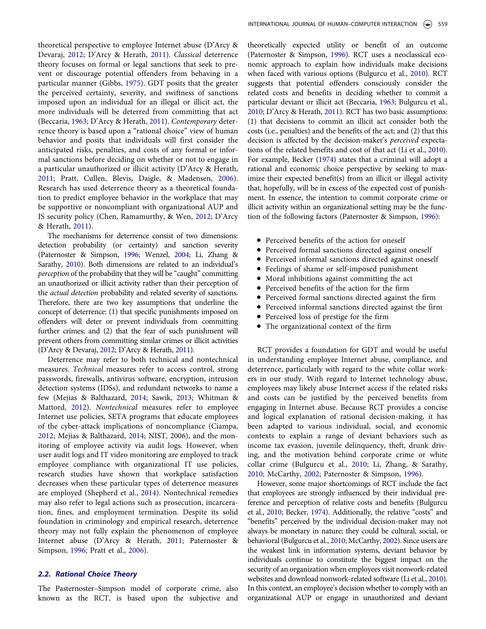theoretical perspective to employee Internet abuse (D'Arcy & Devaraj, [2012;](#page-9-1) D'Arcy & Herath, [2011](#page-10-20)). Classical deterrence theory focuses on formal or legal sanctions that seek to prevent or discourage potential offenders from behaving in a particular manner (Gibbs, [1975](#page-10-23)). GDT posits that the greater the perceived certainty, severity, and swiftness of sanctions imposed upon an individual for an illegal or illicit act, the more individuals will be deterred from committing that act (Beccaria, [1963](#page-9-3); D'Arcy & Herath, [2011\)](#page-10-20). Contemporary deterrence theory is based upon a "rational choice" view of human behavior and posits that individuals will first consider the anticipated risks, penalties, and costs of any formal or informal sanctions before deciding on whether or not to engage in a particular unauthorized or illicit activity (D'Arcy & Herath, [2011](#page-10-20); Pratt, Cullen, Blevis, Daigle, & Madensen, [2006](#page-10-24)). Research has used deterrence theory as a theoretical foundation to predict employee behavior in the workplace that may be supportive or noncompliant with organizational AUP and IS security policy (Chen, Ramamurthy, & Wen, [2012](#page-9-5); D'Arcy & Herath, [2011\)](#page-10-20).

The mechanisms for deterrence consist of two dimensions: detection probability (or certainty) and sanction severity (Paternoster & Simpson, [1996](#page-10-25); Wenzel, [2004](#page-10-26); Li, Zhang & Sarathy, [2010\)](#page-10-27). Both dimensions are related to an individual's perception of the probability that they will be "caught" committing an unauthorized or illicit activity rather than their perception of the actual detection probability and related severity of sanctions. Therefore, there are two key assumptions that underline the concept of deterrence: (1) that specific punishments imposed on offenders will deter or prevent individuals from committing further crimes; and (2) that the fear of such punishment will prevent others from committing similar crimes or illicit activities (D'Arcy & Devaraj, [2012](#page-9-1); D'Arcy & Herath, [2011\)](#page-10-20).

Deterrence may refer to both technical and nontechnical measures. Technical measures refer to access control, strong passwords, firewalls, antivirus software, encryption, intrusion detection systems (IDSs), and redundant networks to name a few (Mejias & Balthazard, [2014](#page-10-16); Sawik, [2013;](#page-10-28) Whitman & Mattord, [2012](#page-10-29)). Nontechnical measures refer to employee Internet use policies, SETA programs that educate employees of the cyber-attack implications of noncompliance (Ciampa, [2012](#page-9-6); Mejias & Balthazard, [2014](#page-10-16); NIST, 2006), and the monitoring of employee activity via audit logs. However, when user audit logs and IT video monitoring are employed to track employee compliance with organizational IT use policies, research studies have shown that workplace satisfaction decreases when these particular types of deterrence measures are employed (Shepherd et al., [2014\)](#page-10-7). Nontechnical remedies may also refer to legal actions such as prosecution, incarceration, fines, and employment termination. Despite its solid foundation in criminology and empirical research, deterrence theory may not fully explain the phenomenon of employee Internet abuse (D'Arcy & Herath, [2011;](#page-10-20) Paternoster & Simpson, [1996;](#page-10-25) Pratt et al., [2006](#page-10-24)).

#### 2.2. Rational Choice Theory

The Pasternoster–Simpson model of corporate crime, also known as the RCT, is based upon the subjective and theoretically expected utility or benefit of an outcome (Paternoster & Simpson, [1996](#page-10-25)). RCT uses a neoclassical economic approach to explain how individuals make decisions when faced with various options (Bulgurcu et al., [2010\)](#page-9-2). RCT suggests that potential offenders consciously consider the related costs and benefits in deciding whether to commit a particular deviant or illicit act (Beccaria, [1963](#page-9-3); Bulgurcu et al., [2010;](#page-9-2) D'Arcy & Herath, [2011\)](#page-10-20). RCT has two basic assumptions: (1) that decisions to commit an illicit act consider both the costs (i.e., penalties) and the benefits of the act; and (2) that this decision is affected by the decision-maker's perceived expectations of the related benefits and cost of that act (Li et al., [2010](#page-10-27)). For example, Becker ([1974](#page-9-4)) states that a criminal will adopt a rational and economic choice perspective by seeking to maximize their expected benefit(s) from an illicit or illegal activity that, hopefully, will be in excess of the expected cost of punishment. In essence, the intention to commit corporate crime or illicit activity within an organizational setting may be the function of the following factors (Paternoster & Simpson, [1996\)](#page-10-25):

- Perceived benefits of the action for oneself
- Perceived formal sanctions directed against oneself
- Perceived informal sanctions directed against oneself
- Feelings of shame or self-imposed punishment
- Moral inhibitions against committing the act
- Perceived benefits of the action for the firm
- Perceived formal sanctions directed against the firm
- Perceived informal sanctions directed against the firm
- Perceived loss of prestige for the firm
- The organizational context of the firm

RCT provides a foundation for GDT and would be useful in understanding employee Internet abuse, compliance, and deterrence, particularly with regard to the white collar workers in our study. With regard to Internet technology abuse, employees may likely abuse Internet access if the related risks and costs can be justified by the perceived benefits from engaging in Internet abuse. Because RCT provides a concise and logical explanation of rational decision-making, it has been adapted to various individual, social, and economic contexts to explain a range of deviant behaviors such as income tax evasion, juvenile delinquency, theft, drunk driving, and the motivation behind corporate crime or white collar crime (Bulgurcu et al., [2010](#page-9-2); Li, Zhang, & Sarathy, [2010](#page-10-27); McCarthy, [2002](#page-10-30); Paternoster & Simpson, [1996\)](#page-10-25).

However, some major shortcomings of RCT include the fact that employees are strongly influenced by their individual preference and perception of relative costs and benefits (Bulgurcu et al., [2010;](#page-9-2) Becker, [1974](#page-9-4)). Additionally, the relative "costs" and "benefits" perceived by the individual decision-maker may not always be monetary in nature; they could be cultural, social, or behavioral (Bulgurcu et al., [2010;](#page-9-2) McCarthy, [2002\)](#page-10-30). Since users are the weakest link in information systems, deviant behavior by individuals continue to constitute the biggest impact on the security of an organization when employees visit nonwork-related websites and download nonwork-related software (Li et al., [2010](#page-10-27)). In this context, an employee's decision whether to comply with an organizational AUP or engage in unauthorized and deviant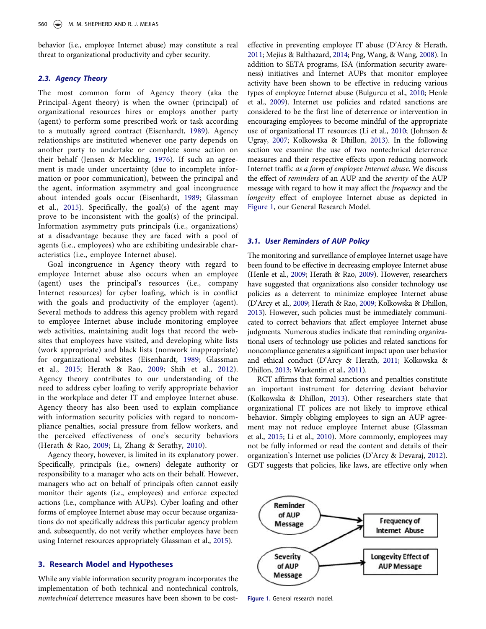behavior (i.e., employee Internet abuse) may constitute a real threat to organizational productivity and cyber security.

# 2.3. Agency Theory

The most common form of Agency theory (aka the Principal–Agent theory) is when the owner (principal) of organizational resources hires or employs another party (agent) to perform some prescribed work or task according to a mutually agreed contract (Eisenhardt, [1989\)](#page-10-21). Agency relationships are instituted whenever one party depends on another party to undertake or complete some action on their behalf (Jensen & Meckling, [1976](#page-10-22)). If such an agreement is made under uncertainty (due to incomplete information or poor communication), between the principal and the agent, information asymmetry and goal incongruence about intended goals occur (Eisenhardt, [1989;](#page-10-21) Glassman et al., [2015\)](#page-10-3). Specifically, the goal(s) of the agent may prove to be inconsistent with the goal(s) of the principal. Information asymmetry puts principals (i.e., organizations) at a disadvantage because they are faced with a pool of agents (i.e., employees) who are exhibiting undesirable characteristics (i.e., employee Internet abuse).

Goal incongruence in Agency theory with regard to employee Internet abuse also occurs when an employee (agent) uses the principal's resources (i.e., company Internet resources) for cyber loafing, which is in conflict with the goals and productivity of the employer (agent). Several methods to address this agency problem with regard to employee Internet abuse include monitoring employee web activities, maintaining audit logs that record the websites that employees have visited, and developing white lists (work appropriate) and black lists (nonwork inappropriate) for organizational websites (Eisenhardt, [1989;](#page-10-21) Glassman et al., [2015](#page-10-3); Herath & Rao, [2009;](#page-10-19) Shih et al., [2012](#page-10-8)). Agency theory contributes to our understanding of the need to address cyber loafing to verify appropriate behavior in the workplace and deter IT and employee Internet abuse. Agency theory has also been used to explain compliance with information security policies with regard to noncompliance penalties, social pressure from fellow workers, and the perceived effectiveness of one's security behaviors (Herath & Rao, [2009;](#page-10-19) Li, Zhang & Serathy, [2010\)](#page-10-27).

Agency theory, however, is limited in its explanatory power. Specifically, principals (i.e., owners) delegate authority or responsibility to a manager who acts on their behalf. However, managers who act on behalf of principals often cannot easily monitor their agents (i.e., employees) and enforce expected actions (i.e., compliance with AUPs). Cyber loafing and other forms of employee Internet abuse may occur because organizations do not specifically address this particular agency problem and, subsequently, do not verify whether employees have been using Internet resources appropriately Glassman et al., [2015\)](#page-10-3).

# 3. Research Model and Hypotheses

While any viable information security program incorporates the implementation of both technical and nontechnical controls, nontechnical deterrence measures have been shown to be costeffective in preventing employee IT abuse (D'Arcy & Herath, [2011;](#page-10-20) Mejias & Balthazard, [2014](#page-10-16); Png, Wang, & Wang, [2008](#page-10-31)). In addition to SETA programs, ISA (information security awareness) initiatives and Internet AUPs that monitor employee activity have been shown to be effective in reducing various types of employee Internet abuse (Bulgurcu et al., [2010;](#page-9-2) Henle et al., [2009\)](#page-10-4). Internet use policies and related sanctions are considered to be the first line of deterrence or intervention in encouraging employees to become mindful of the appropriate use of organizational IT resources (Li et al., [2010;](#page-10-27) (Johnson & Ugray, [2007](#page-10-32); Kolkowska & Dhillon, [2013\)](#page-10-11). In the following section we examine the use of two nontechnical deterrence measures and their respective effects upon reducing nonwork Internet traffic as a form of employee Internet abuse. We discuss the effect of reminders of an AUP and the severity of the AUP message with regard to how it may affect the frequency and the longevity effect of employee Internet abuse as depicted in [Figure 1](#page-3-0), our General Research Model.

### 3.1. User Reminders of AUP Policy

The monitoring and surveillance of employee Internet usage have been found to be effective in decreasing employee Internet abuse (Henle et al., [2009](#page-10-4); Herath & Rao, [2009](#page-10-19)). However, researchers have suggested that organizations also consider technology use policies as a deterrent to minimize employee Internet abuse (D'Arcy et al., [2009](#page-10-18); Herath & Rao, [2009;](#page-10-19) Kolkowska & Dhillon, [2013\)](#page-10-11). However, such policies must be immediately communicated to correct behaviors that affect employee Internet abuse judgments. Numerous studies indicate that reminding organizational users of technology use policies and related sanctions for noncompliance generates a significant impact upon user behavior and ethical conduct (D'Arcy & Herath, [2011](#page-10-20); Kolkowska & Dhillon, [2013](#page-10-11); Warkentin et al., [2011\)](#page-10-14).

RCT affirms that formal sanctions and penalties constitute an important instrument for deterring deviant behavior (Kolkowska & Dhillon, [2013\)](#page-10-11). Other researchers state that organizational IT polices are not likely to improve ethical behavior. Simply obliging employees to sign an AUP agreement may not reduce employee Internet abuse (Glassman et al., [2015;](#page-10-3) Li et al., [2010](#page-10-27)). More commonly, employees may not be fully informed or read the content and details of their organization's Internet use policies (D'Arcy & Devaraj, [2012](#page-9-1)). GDT suggests that policies, like laws, are effective only when



<span id="page-3-0"></span>Figure 1. General research model.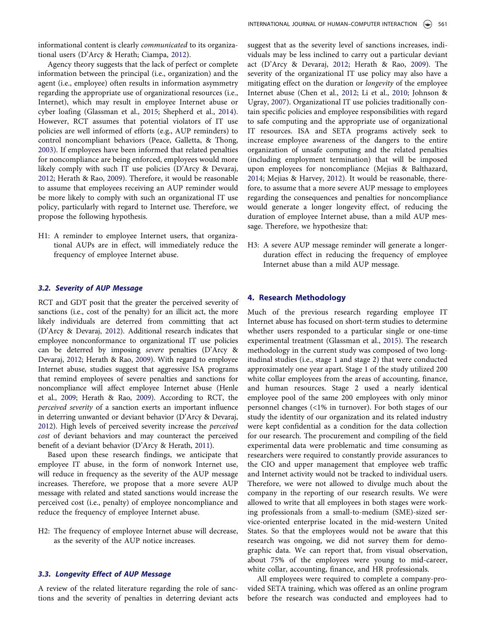Agency theory suggests that the lack of perfect or complete information between the principal (i.e., organization) and the agent (i.e., employee) often results in information asymmetry regarding the appropriate use of organizational resources (i.e., Internet), which may result in employee Internet abuse or cyber loafing (Glassman et al., [2015](#page-10-3); Shepherd et al., [2014](#page-10-7)). However, RCT assumes that potential violators of IT use policies are well informed of efforts (e.g., AUP reminders) to control noncompliant behaviors (Peace, Galletta, & Thong, [2003](#page-10-33)). If employees have been informed that related penalties for noncompliance are being enforced, employees would more likely comply with such IT use policies (D'Arcy & Devaraj, [2012](#page-9-1); Herath & Rao, [2009](#page-10-19)). Therefore, it would be reasonable to assume that employees receiving an AUP reminder would be more likely to comply with such an organizational IT use policy, particularly with regard to Internet use. Therefore, we propose the following hypothesis.

H1: A reminder to employee Internet users, that organizational AUPs are in effect, will immediately reduce the frequency of employee Internet abuse.

## 3.2. Severity of AUP Message

RCT and GDT posit that the greater the perceived severity of sanctions (i.e., cost of the penalty) for an illicit act, the more likely individuals are deterred from committing that act (D'Arcy & Devaraj, [2012](#page-9-1)). Additional research indicates that employee nonconformance to organizational IT use policies can be deterred by imposing severe penalties (D'Arcy & Devaraj, [2012;](#page-9-1) Herath & Rao, [2009\)](#page-10-19). With regard to employee Internet abuse, studies suggest that aggressive ISA programs that remind employees of severe penalties and sanctions for noncompliance will affect employee Internet abuse (Henle et al., [2009;](#page-10-4) Herath & Rao, [2009](#page-10-19)). According to RCT, the perceived severity of a sanction exerts an important influence in deterring unwanted or deviant behavior (D'Arcy & Devaraj, [2012\)](#page-9-1). High levels of perceived severity increase the perceived cost of deviant behaviors and may counteract the perceived benefit of a deviant behavior (D'Arcy & Herath, [2011](#page-10-20)).

Based upon these research findings, we anticipate that employee IT abuse, in the form of nonwork Internet use, will reduce in frequency as the severity of the AUP message increases. Therefore, we propose that a more severe AUP message with related and stated sanctions would increase the perceived cost (i.e., penalty) of employee noncompliance and reduce the frequency of employee Internet abuse.

H2: The frequency of employee Internet abuse will decrease, as the severity of the AUP notice increases.

# 3.3. Longevity Effect of AUP Message

A review of the related literature regarding the role of sanctions and the severity of penalties in deterring deviant acts suggest that as the severity level of sanctions increases, individuals may be less inclined to carry out a particular deviant act (D'Arcy & Devaraj, [2012;](#page-9-1) Herath & Rao, [2009\)](#page-10-19). The severity of the organizational IT use policy may also have a mitigating effect on the duration or longevity of the employee Internet abuse (Chen et al., [2012;](#page-9-5) Li et al., [2010](#page-10-27); Johnson & Ugray, [2007\)](#page-10-32). Organizational IT use policies traditionally contain specific policies and employee responsibilities with regard to safe computing and the appropriate use of organizational IT resources. ISA and SETA programs actively seek to increase employee awareness of the dangers to the entire organization of unsafe computing and the related penalties (including employment termination) that will be imposed upon employees for noncompliance (Mejias & Balthazard, [2014](#page-10-16); Mejias & Harvey, [2012](#page-10-17)). It would be reasonable, therefore, to assume that a more severe AUP message to employees regarding the consequences and penalties for noncompliance would generate a longer longevity effect, of reducing the duration of employee Internet abuse, than a mild AUP message. Therefore, we hypothesize that:

H3: A severe AUP message reminder will generate a longerduration effect in reducing the frequency of employee Internet abuse than a mild AUP message.

# 4. Research Methodology

Much of the previous research regarding employee IT Internet abuse has focused on short-term studies to determine whether users responded to a particular single or one-time experimental treatment (Glassman et al., [2015](#page-10-3)). The research methodology in the current study was composed of two longitudinal studies (i.e., stage 1 and stage 2) that were conducted approximately one year apart. Stage 1 of the study utilized 200 white collar employees from the areas of accounting, finance, and human resources. Stage 2 used a nearly identical employee pool of the same 200 employees with only minor personnel changes (<1% in turnover). For both stages of our study the identity of our organization and its related industry were kept confidential as a condition for the data collection for our research. The procurement and compiling of the field experimental data were problematic and time consuming as researchers were required to constantly provide assurances to the CIO and upper management that employee web traffic and Internet activity would not be tracked to individual users. Therefore, we were not allowed to divulge much about the company in the reporting of our research results. We were allowed to write that all employees in both stages were working professionals from a small-to-medium (SME)-sized service-oriented enterprise located in the mid-western United States. So that the employees would not be aware that this research was ongoing, we did not survey them for demographic data. We can report that, from visual observation, about 75% of the employees were young to mid-career, white collar, accounting, finance, and HR professionals.

All employees were required to complete a company-provided SETA training, which was offered as an online program before the research was conducted and employees had to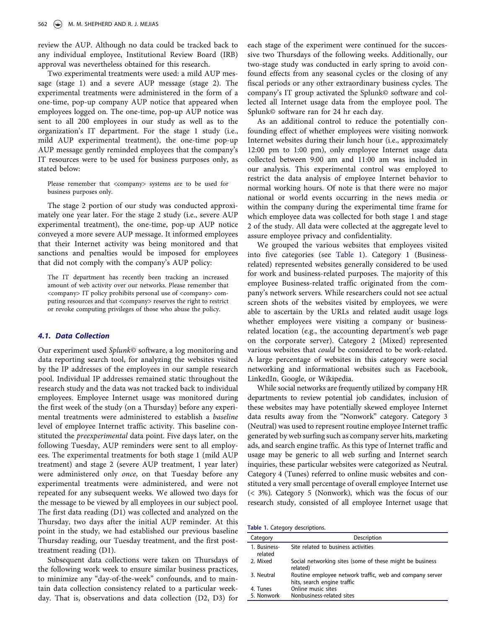review the AUP. Although no data could be tracked back to any individual employee, Institutional Review Board (IRB) approval was nevertheless obtained for this research.

Two experimental treatments were used: a mild AUP message (stage 1) and a severe AUP message (stage 2). The experimental treatments were administered in the form of a one-time, pop-up company AUP notice that appeared when employees logged on. The one-time, pop-up AUP notice was sent to all 200 employees in our study as well as to the organization's IT department. For the stage 1 study (i.e., mild AUP experimental treatment), the one-time pop-up AUP message gently reminded employees that the company's IT resources were to be used for business purposes only, as stated below:

Please remember that <company> systems are to be used for business purposes only.

The stage 2 portion of our study was conducted approximately one year later. For the stage 2 study (i.e., severe AUP experimental treatment), the one-time, pop-up AUP notice conveyed a more severe AUP message. It informed employees that their Internet activity was being monitored and that sanctions and penalties would be imposed for employees that did not comply with the company's AUP policy:

The IT department has recently been tracking an increased amount of web activity over our networks. Please remember that <company> IT policy prohibits personal use of <company> computing resources and that <company> reserves the right to restrict or revoke computing privileges of those who abuse the policy.

#### 4.1. Data Collection

Our experiment used Splunk© software, a log monitoring and data reporting search tool, for analyzing the websites visited by the IP addresses of the employees in our sample research pool. Individual IP addresses remained static throughout the research study and the data was not tracked back to individual employees. Employee Internet usage was monitored during the first week of the study (on a Thursday) before any experimental treatments were administered to establish a baseline level of employee Internet traffic activity. This baseline constituted the preexperimental data point. Five days later, on the following Tuesday, AUP reminders were sent to all employees. The experimental treatments for both stage 1 (mild AUP treatment) and stage 2 (severe AUP treatment, 1 year later) were administered only once, on that Tuesday before any experimental treatments were administered, and were not repeated for any subsequent weeks. We allowed two days for the message to be viewed by all employees in our subject pool. The first data reading (D1) was collected and analyzed on the Thursday, two days after the initial AUP reminder. At this point in the study, we had established our previous baseline Thursday reading, our Tuesday treatment, and the first posttreatment reading (D1).

Subsequent data collections were taken on Thursdays of the following work week to ensure similar business practices, to minimize any "day-of-the-week" confounds, and to maintain data collection consistency related to a particular weekday. That is, observations and data collection (D2, D3) for

each stage of the experiment were continued for the successive two Thursdays of the following weeks. Additionally, our two-stage study was conducted in early spring to avoid confound effects from any seasonal cycles or the closing of any fiscal periods or any other extraordinary business cycles. The company's IT group activated the Splunk© software and collected all Internet usage data from the employee pool. The Splunk© software ran for 24 hr each day.

As an additional control to reduce the potentially confounding effect of whether employees were visiting nonwork Internet websites during their lunch hour (i.e., approximately 12:00 pm to 1:00 pm), only employee Internet usage data collected between 9:00 am and 11:00 am was included in our analysis. This experimental control was employed to restrict the data analysis of employee Internet behavior to normal working hours. Of note is that there were no major national or world events occurring in the news media or within the company during the experimental time frame for which employee data was collected for both stage 1 and stage 2 of the study. All data were collected at the aggregate level to assure employee privacy and confidentiality.

We grouped the various websites that employees visited into five categories (see [Table 1\)](#page-5-0). Category 1 (Businessrelated) represented websites generally considered to be used for work and business-related purposes. The majority of this employee Business-related traffic originated from the company's network servers. While researchers could not see actual screen shots of the websites visited by employees, we were able to ascertain by the URLs and related audit usage logs whether employees were visiting a company or businessrelated location (e.g., the accounting department's web page on the corporate server). Category 2 (Mixed) represented various websites that could be considered to be work-related. A large percentage of websites in this category were social networking and informational websites such as Facebook, LinkedIn, Google, or Wikipedia.

While social networks are frequently utilized by company HR departments to review potential job candidates, inclusion of these websites may have potentially skewed employee Internet data results away from the "Nonwork" category. Category 3 (Neutral) was used to represent routine employee Internet traffic generated by web surfing such as company server hits, marketing ads, and search engine traffic. As this type of Internet traffic and usage may be generic to all web surfing and Internet search inquiries, these particular websites were categorized as Neutral. Category 4 (Tunes) referred to online music websites and constituted a very small percentage of overall employee Internet use (< 3%). Category 5 (Nonwork), which was the focus of our research study, consisted of all employee Internet usage that

<span id="page-5-0"></span>Table 1. Category descriptions.

| Category                | Description                                                                             |
|-------------------------|-----------------------------------------------------------------------------------------|
| 1. Business-<br>related | Site related to business activities                                                     |
| 2. Mixed                | Social networking sites (some of these might be business<br>related)                    |
| 3. Neutral              | Routine employee network traffic, web and company server<br>hits, search engine traffic |
| 4. Tunes<br>5. Nonwork  | Online music sites<br>Nonbusiness-related sites                                         |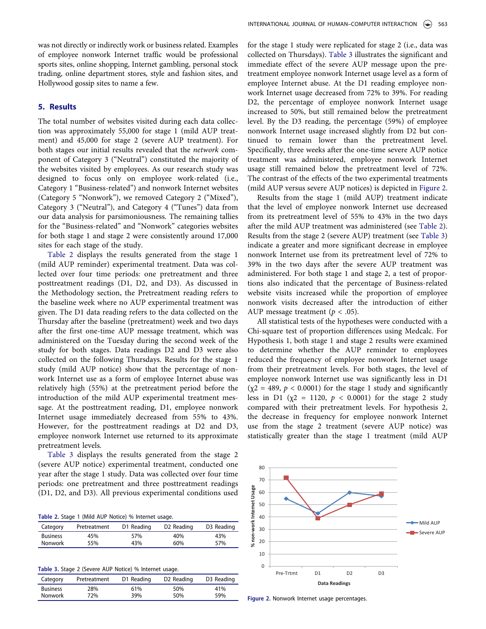was not directly or indirectly work or business related. Examples of employee nonwork Internet traffic would be professional sports sites, online shopping, Internet gambling, personal stock trading, online department stores, style and fashion sites, and Hollywood gossip sites to name a few.

# 5. Results

The total number of websites visited during each data collection was approximately 55,000 for stage 1 (mild AUP treatment) and 45,000 for stage 2 (severe AUP treatment). For both stages our initial results revealed that the network component of Category 3 ("Neutral") constituted the majority of the websites visited by employees. As our research study was designed to focus only on employee work-related (i.e., Category 1 "Business-related") and nonwork Internet websites (Category 5 "Nonwork"), we removed Category 2 ("Mixed"), Category 3 ("Neutral"), and Category 4 ("Tunes") data from our data analysis for parsimoniousness. The remaining tallies for the "Business-related" and "Nonwork" categories websites for both stage 1 and stage 2 were consistently around 17,000 sites for each stage of the study.

[Table 2](#page-6-0) displays the results generated from the stage 1 (mild AUP reminder) experimental treatment. Data was collected over four time periods: one pretreatment and three posttreatment readings (D1, D2, and D3). As discussed in the Methodology section, the Pretreatment reading refers to the baseline week where no AUP experimental treatment was given. The D1 data reading refers to the data collected on the Thursday after the baseline (pretreatment) week and two days after the first one-time AUP message treatment, which was administered on the Tuesday during the second week of the study for both stages. Data readings D2 and D3 were also collected on the following Thursdays. Results for the stage 1 study (mild AUP notice) show that the percentage of nonwork Internet use as a form of employee Internet abuse was relatively high (55%) at the pretreatment period before the introduction of the mild AUP experimental treatment message. At the posttreatment reading, D1, employee nonwork Internet usage immediately decreased from 55% to 43%. However, for the posttreatment readings at D2 and D3, employee nonwork Internet use returned to its approximate pretreatment levels.

[Table 3](#page-6-1) displays the results generated from the stage 2 (severe AUP notice) experimental treatment, conducted one year after the stage 1 study. Data was collected over four time periods: one pretreatment and three posttreatment readings (D1, D2, and D3). All previous experimental conditions used

<span id="page-6-0"></span>

| Table 2. Stage 1 (Mild AUP Notice) % Internet usage. |  |  |  |     |
|------------------------------------------------------|--|--|--|-----|
|                                                      |  |  |  | --- |

| Category        | Pretreatment | D1 Reading | D <sub>2</sub> Reading | D <sub>3</sub> Reading |
|-----------------|--------------|------------|------------------------|------------------------|
| <b>Business</b> | 45%          | 57%        | 40%                    | 43%                    |
| Nonwork         | 55%          | 43%        | 60%                    | 57%                    |

<span id="page-6-1"></span>

| Table 3. Stage 2 (Severe AUP Notice) % Internet usage. |  |  |       |  |      |  |
|--------------------------------------------------------|--|--|-------|--|------|--|
|                                                        |  |  | - - - |  | ---- |  |

| Category | Pretreatment | D1 Reading | D <sub>2</sub> Reading | D3 Reading |
|----------|--------------|------------|------------------------|------------|
| Business | 28%          | 61%        | 50%                    | 41%        |
| Nonwork  | 72%          | 39%        | 50%                    | 59%        |

for the stage 1 study were replicated for stage 2 (i.e., data was collected on Thursdays). [Table 3](#page-6-1) illustrates the significant and immediate effect of the severe AUP message upon the pretreatment employee nonwork Internet usage level as a form of employee Internet abuse. At the D1 reading employee nonwork Internet usage decreased from 72% to 39%. For reading D2, the percentage of employee nonwork Internet usage increased to 50%, but still remained below the pretreatment level. By the D3 reading, the percentage (59%) of employee nonwork Internet usage increased slightly from D2 but continued to remain lower than the pretreatment level. Specifically, three weeks after the one-time severe AUP notice treatment was administered, employee nonwork Internet usage still remained below the pretreatment level of 72%. The contrast of the effects of the two experimental treatments (mild AUP versus severe AUP notices) is depicted in [Figure 2.](#page-6-2)

Results from the stage 1 (mild AUP) treatment indicate that the level of employee nonwork Internet use decreased from its pretreatment level of 55% to 43% in the two days after the mild AUP treatment was administered (see [Table 2](#page-6-0)). Results from the stage 2 (severe AUP) treatment (see [Table 3\)](#page-6-1) indicate a greater and more significant decrease in employee nonwork Internet use from its pretreatment level of 72% to 39% in the two days after the severe AUP treatment was administered. For both stage 1 and stage 2, a test of proportions also indicated that the percentage of Business-related website visits increased while the proportion of employee nonwork visits decreased after the introduction of either AUP message treatment ( $p < .05$ ).

All statistical tests of the hypotheses were conducted with a Chi-square test of proportion differences using Medcalc. For Hypothesis 1, both stage 1 and stage 2 results were examined to determine whether the AUP reminder to employees reduced the frequency of employee nonwork Internet usage from their pretreatment levels. For both stages, the level of employee nonwork Internet use was significantly less in D1 ( $\chi$ 2 = 489,  $p$  < 0.0001) for the stage 1 study and significantly less in D1 ( $\chi$ 2 = 1120,  $p$  < 0.0001) for the stage 2 study compared with their pretreatment levels. For hypothesis 2, the decrease in frequency for employee nonwork Internet use from the stage 2 treatment (severe AUP notice) was statistically greater than the stage 1 treatment (mild AUP



<span id="page-6-2"></span>Figure 2. Nonwork Internet usage percentages.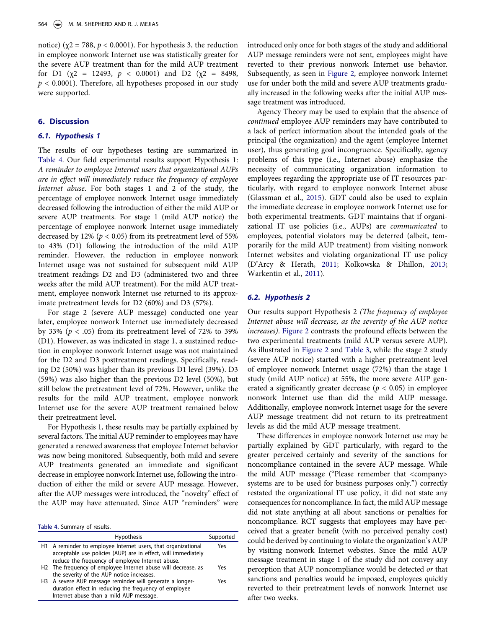notice) ( $χ$ 2 = 788,  $p$  < 0.0001). For hypothesis 3, the reduction in employee nonwork Internet use was statistically greater for the severe AUP treatment than for the mild AUP treatment for D1 ( $\chi$ 2 = 12493,  $p$  < 0.0001) and D2 ( $\chi$ 2 = 8498,  $p < 0.0001$ ). Therefore, all hypotheses proposed in our study were supported.

# 6. Discussion

# 6.1. Hypothesis 1

The results of our hypotheses testing are summarized in [Table 4.](#page-7-0) Our field experimental results support Hypothesis 1: A reminder to employee Internet users that organizational AUPs are in effect will immediately reduce the frequency of employee Internet abuse. For both stages 1 and 2 of the study, the percentage of employee nonwork Internet usage immediately decreased following the introduction of either the mild AUP or severe AUP treatments. For stage 1 (mild AUP notice) the percentage of employee nonwork Internet usage immediately decreased by 12% ( $p < 0.05$ ) from its pretreatment level of 55% to 43% (D1) following the introduction of the mild AUP reminder. However, the reduction in employee nonwork Internet usage was not sustained for subsequent mild AUP treatment readings D2 and D3 (administered two and three weeks after the mild AUP treatment). For the mild AUP treatment, employee nonwork Internet use returned to its approximate pretreatment levels for D2 (60%) and D3 (57%).

For stage 2 (severe AUP message) conducted one year later, employee nonwork Internet use immediately decreased by 33% ( $p < .05$ ) from its pretreatment level of 72% to 39% (D1). However, as was indicated in stage 1, a sustained reduction in employee nonwork Internet usage was not maintained for the D2 and D3 posttreatment readings. Specifically, reading D2 (50%) was higher than its previous D1 level (39%). D3 (59%) was also higher than the previous D2 level (50%), but still below the pretreatment level of 72%. However, unlike the results for the mild AUP treatment, employee nonwork Internet use for the severe AUP treatment remained below their pretreatment level.

For Hypothesis 1, these results may be partially explained by several factors. The initial AUP reminder to employees may have generated a renewed awareness that employee Internet behavior was now being monitored. Subsequently, both mild and severe AUP treatments generated an immediate and significant decrease in employee nonwork Internet use, following the introduction of either the mild or severe AUP message. However, after the AUP messages were introduced, the "novelty" effect of the AUP may have attenuated. Since AUP "reminders" were

<span id="page-7-0"></span>Table 4. Summary of results.

| Hypothesis                                                                                                                                                                         | Supported |
|------------------------------------------------------------------------------------------------------------------------------------------------------------------------------------|-----------|
| H1 A reminder to employee Internet users, that organizational<br>acceptable use policies (AUP) are in effect, will immediately<br>reduce the frequency of employee Internet abuse. | Yes       |
| H2 The frequency of employee Internet abuse will decrease, as<br>the severity of the AUP notice increases.                                                                         | Yes       |
| H3 A severe AUP message reminder will generate a longer-<br>duration effect in reducing the frequency of employee<br>Internet abuse than a mild AUP message.                       | Yes       |

introduced only once for both stages of the study and additional AUP message reminders were not sent, employees might have reverted to their previous nonwork Internet use behavior. Subsequently, as seen in [Figure 2](#page-6-2), employee nonwork Internet use for under both the mild and severe AUP treatments gradually increased in the following weeks after the initial AUP message treatment was introduced.

Agency Theory may be used to explain that the absence of continued employee AUP reminders may have contributed to a lack of perfect information about the intended goals of the principal (the organization) and the agent (employee Internet user), thus generating goal incongruence. Specifically, agency problems of this type (i.e., Internet abuse) emphasize the necessity of communicating organization information to employees regarding the appropriate use of IT resources particularly, with regard to employee nonwork Internet abuse (Glassman et al., [2015](#page-10-3)). GDT could also be used to explain the immediate decrease in employee nonwork Internet use for both experimental treatments. GDT maintains that if organizational IT use policies (i.e., AUPs) are communicated to employees, potential violators may be deterred (albeit, temporarily for the mild AUP treatment) from visiting nonwork Internet websites and violating organizational IT use policy (D'Arcy & Herath, [2011;](#page-10-20) Kolkowska & Dhillon, [2013;](#page-10-11) Warkentin et al., [2011\)](#page-10-14).

# 6.2. Hypothesis 2

Our results support Hypothesis 2 (The frequency of employee Internet abuse will decrease, as the severity of the AUP notice increases). [Figure 2](#page-6-2) contrasts the profound effects between the two experimental treatments (mild AUP versus severe AUP). As illustrated in [Figure 2](#page-6-2) and [Table 3,](#page-6-1) while the stage 2 study (severe AUP notice) started with a higher pretreatment level of employee nonwork Internet usage (72%) than the stage 1 study (mild AUP notice) at 55%, the more severe AUP generated a significantly greater decrease ( $p < 0.05$ ) in employee nonwork Internet use than did the mild AUP message. Additionally, employee nonwork Internet usage for the severe AUP message treatment did not return to its pretreatment levels as did the mild AUP message treatment.

These differences in employee nonwork Internet use may be partially explained by GDT particularly, with regard to the greater perceived certainly and severity of the sanctions for noncompliance contained in the severe AUP message. While the mild AUP message ("Please remember that <company> systems are to be used for business purposes only.") correctly restated the organizational IT use policy, it did not state any consequences for noncompliance. In fact, the mild AUP message did not state anything at all about sanctions or penalties for noncompliance. RCT suggests that employees may have perceived that a greater benefit (with no perceived penalty cost) could be derived by continuing to violate the organization's AUP by visiting nonwork Internet websites. Since the mild AUP message treatment in stage 1 of the study did not convey any perception that AUP noncompliance would be detected or that sanctions and penalties would be imposed, employees quickly reverted to their pretreatment levels of nonwork Internet use after two weeks.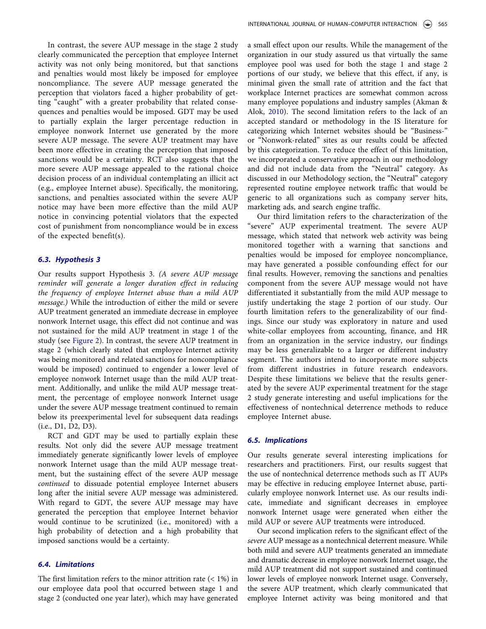In contrast, the severe AUP message in the stage 2 study clearly communicated the perception that employee Internet activity was not only being monitored, but that sanctions and penalties would most likely be imposed for employee noncompliance. The severe AUP message generated the perception that violators faced a higher probability of getting "caught" with a greater probability that related consequences and penalties would be imposed. GDT may be used to partially explain the larger percentage reduction in employee nonwork Internet use generated by the more severe AUP message. The severe AUP treatment may have been more effective in creating the perception that imposed sanctions would be a certainty. RCT also suggests that the more severe AUP message appealed to the rational choice decision process of an individual contemplating an illicit act (e.g., employee Internet abuse). Specifically, the monitoring, sanctions, and penalties associated within the severe AUP notice may have been more effective than the mild AUP notice in convincing potential violators that the expected cost of punishment from noncompliance would be in excess of the expected benefit(s).

#### 6.3. Hypothesis 3

Our results support Hypothesis 3. (A severe AUP message reminder will generate a longer duration effect in reducing the frequency of employee Internet abuse than a mild AUP message.) While the introduction of either the mild or severe AUP treatment generated an immediate decrease in employee nonwork Internet usage, this effect did not continue and was not sustained for the mild AUP treatment in stage 1 of the study (see [Figure 2](#page-6-2)). In contrast, the severe AUP treatment in stage 2 (which clearly stated that employee Internet activity was being monitored and related sanctions for noncompliance would be imposed) continued to engender a lower level of employee nonwork Internet usage than the mild AUP treatment. Additionally, and unlike the mild AUP message treatment, the percentage of employee nonwork Internet usage under the severe AUP message treatment continued to remain below its preexperimental level for subsequent data readings (i.e., D1, D2, D3).

RCT and GDT may be used to partially explain these results. Not only did the severe AUP message treatment immediately generate significantly lower levels of employee nonwork Internet usage than the mild AUP message treatment, but the sustaining effect of the severe AUP message continued to dissuade potential employee Internet abusers long after the initial severe AUP message was administered. With regard to GDT, the severe AUP message may have generated the perception that employee Internet behavior would continue to be scrutinized (i.e., monitored) with a high probability of detection and a high probability that imposed sanctions would be a certainty.

# 6.4. Limitations

The first limitation refers to the minor attrition rate  $(< 1\%)$  in our employee data pool that occurred between stage 1 and stage 2 (conducted one year later), which may have generated a small effect upon our results. While the management of the organization in our study assured us that virtually the same employee pool was used for both the stage 1 and stage 2 portions of our study, we believe that this effect, if any, is minimal given the small rate of attrition and the fact that workplace Internet practices are somewhat common across many employee populations and industry samples (Akman & Alok, [2010](#page-9-7)). The second limitation refers to the lack of an accepted standard or methodology in the IS literature for categorizing which Internet websites should be "Business-" or "Nonwork-related" sites as our results could be affected by this categorization. To reduce the effect of this limitation, we incorporated a conservative approach in our methodology and did not include data from the "Neutral" category. As discussed in our Methodology section, the "Neutral" category represented routine employee network traffic that would be generic to all organizations such as company server hits, marketing ads, and search engine traffic.

Our third limitation refers to the characterization of the "severe" AUP experimental treatment. The severe AUP message, which stated that network web activity was being monitored together with a warning that sanctions and penalties would be imposed for employee noncompliance, may have generated a possible confounding effect for our final results. However, removing the sanctions and penalties component from the severe AUP message would not have differentiated it substantially from the mild AUP message to justify undertaking the stage 2 portion of our study. Our fourth limitation refers to the generalizability of our findings. Since our study was exploratory in nature and used white-collar employees from accounting, finance, and HR from an organization in the service industry, our findings may be less generalizable to a larger or different industry segment. The authors intend to incorporate more subjects from different industries in future research endeavors. Despite these limitations we believe that the results generated by the severe AUP experimental treatment for the stage 2 study generate interesting and useful implications for the effectiveness of nontechnical deterrence methods to reduce employee Internet abuse.

#### 6.5. Implications

Our results generate several interesting implications for researchers and practitioners. First, our results suggest that the use of nontechnical deterrence methods such as IT AUPs may be effective in reducing employee Internet abuse, particularly employee nonwork Internet use. As our results indicate, immediate and significant decreases in employee nonwork Internet usage were generated when either the mild AUP or severe AUP treatments were introduced.

Our second implication refers to the significant effect of the severe AUP message as a nontechnical deterrent measure. While both mild and severe AUP treatments generated an immediate and dramatic decrease in employee nonwork Internet usage, the mild AUP treatment did not support sustained and continued lower levels of employee nonwork Internet usage. Conversely, the severe AUP treatment, which clearly communicated that employee Internet activity was being monitored and that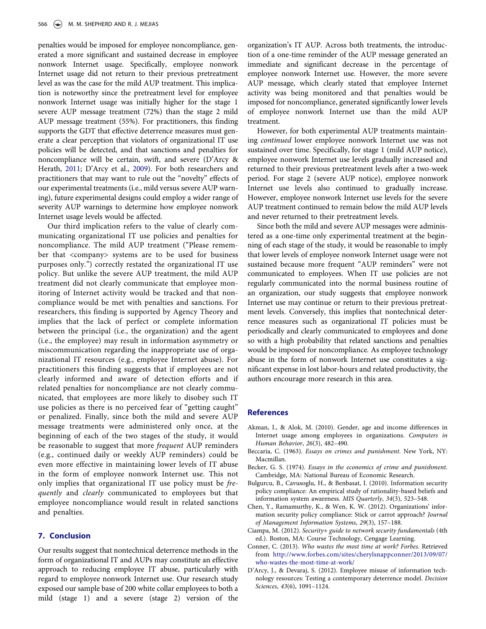penalties would be imposed for employee noncompliance, generated a more significant and sustained decrease in employee nonwork Internet usage. Specifically, employee nonwork Internet usage did not return to their previous pretreatment level as was the case for the mild AUP treatment. This implication is noteworthy since the pretreatment level for employee nonwork Internet usage was initially higher for the stage 1 severe AUP message treatment (72%) than the stage 2 mild AUP message treatment (55%). For practitioners, this finding supports the GDT that effective deterrence measures must generate a clear perception that violators of organizational IT use policies will be detected, and that sanctions and penalties for noncompliance will be certain, swift, and severe (D'Arcy & Herath, [2011](#page-10-20); D'Arcy et al., [2009](#page-10-18)). For both researchers and practitioners that may want to rule out the "novelty" effects of our experimental treatments (i.e., mild versus severe AUP warning), future experimental designs could employ a wider range of severity AUP warnings to determine how employee nonwork Internet usage levels would be affected.

Our third implication refers to the value of clearly communicating organizational IT use policies and penalties for noncompliance. The mild AUP treatment ("Please remember that <company> systems are to be used for business purposes only.") correctly restated the organizational IT use policy. But unlike the severe AUP treatment, the mild AUP treatment did not clearly communicate that employee monitoring of Internet activity would be tracked and that noncompliance would be met with penalties and sanctions. For researchers, this finding is supported by Agency Theory and implies that the lack of perfect or complete information between the principal (i.e., the organization) and the agent (i.e., the employee) may result in information asymmetry or miscommunication regarding the inappropriate use of organizational IT resources (e.g., employee Internet abuse). For practitioners this finding suggests that if employees are not clearly informed and aware of detection efforts and if related penalties for noncompliance are not clearly communicated, that employees are more likely to disobey such IT use policies as there is no perceived fear of "getting caught" or penalized. Finally, since both the mild and severe AUP message treatments were administered only once, at the beginning of each of the two stages of the study, it would be reasonable to suggest that more *frequent* AUP reminders (e.g., continued daily or weekly AUP reminders) could be even more effective in maintaining lower levels of IT abuse in the form of employee nonwork Internet use. This not only implies that organizational IT use policy must be frequently and clearly communicated to employees but that employee noncompliance would result in related sanctions and penalties.

# 7. Conclusion

Our results suggest that nontechnical deterrence methods in the form of organizational IT and AUPs may constitute an effective approach to reducing employee IT abuse, particularly with regard to employee nonwork Internet use. Our research study exposed our sample base of 200 white collar employees to both a mild (stage 1) and a severe (stage 2) version of the

organization's IT AUP. Across both treatments, the introduction of a one-time reminder of the AUP message generated an immediate and significant decrease in the percentage of employee nonwork Internet use. However, the more severe AUP message, which clearly stated that employee Internet activity was being monitored and that penalties would be imposed for noncompliance, generated significantly lower levels of employee nonwork Internet use than the mild AUP treatment.

However, for both experimental AUP treatments maintaining continued lower employee nonwork Internet use was not sustained over time. Specifically, for stage 1 (mild AUP notice), employee nonwork Internet use levels gradually increased and returned to their previous pretreatment levels after a two-week period. For stage 2 (severe AUP notice), employee nonwork Internet use levels also continued to gradually increase. However, employee nonwork Internet use levels for the severe AUP treatment continued to remain below the mild AUP levels and never returned to their pretreatment levels.

Since both the mild and severe AUP messages were administered as a one-time only experimental treatment at the beginning of each stage of the study, it would be reasonable to imply that lower levels of employee nonwork Internet usage were not sustained because more frequent "AUP reminders" were not communicated to employees. When IT use policies are not regularly communicated into the normal business routine of an organization, our study suggests that employee nonwork Internet use may continue or return to their previous pretreatment levels. Conversely, this implies that nontechnical deterrence measures such as organizational IT policies must be periodically and clearly communicated to employees and done so with a high probability that related sanctions and penalties would be imposed for noncompliance. As employee technology abuse in the form of nonwork Internet use constitutes a significant expense in lost labor-hours and related productivity, the authors encourage more research in this area.

#### References

- <span id="page-9-7"></span>Akman, I., & Alok, M. (2010). Gender, age and income differences in Internet usage among employees in organizations. Computers in Human Behavior, 26(3), 482–490.
- <span id="page-9-3"></span>Beccaria, C. (1963). Essays on crimes and punishment. New York, NY: Macmillan.
- <span id="page-9-4"></span>Becker, G. S. (1974). Essays in the economics of crime and punishment. Cambridge, MA: National Bureau of Economic Research.
- <span id="page-9-2"></span>Bulgurcu, B., Cavusoglu, H., & Benbasat, I. (2010). Information security policy compliance: An empirical study of rationality-based beliefs and information system awareness. MIS Quarterly, 34(3), 523–548.
- <span id="page-9-5"></span>Chen, Y., Ramamurthy, K., & Wen, K. W. (2012). Organizations' information security policy compliance: Stick or carrot approach? Journal of Management Information Systems, 29(3), 157–188.
- <span id="page-9-6"></span>Ciampa, M. (2012). Security+ guide to network security fundamentals (4th ed.). Boston, MA: Course Technology, Cengage Learning.
- <span id="page-9-0"></span>Conner, C. (2013). Who wastes the most time at work? Forbes. Retrieved from [http://www.forbes.com/sites/cherylsnappconner/2013/09/07/](http://www.forbes.com/sites/cherylsnappconner/2013/09/07/who-wastes-the-most-time-at-work/) [who-wastes-the-most-time-at-work/](http://www.forbes.com/sites/cherylsnappconner/2013/09/07/who-wastes-the-most-time-at-work/)
- <span id="page-9-1"></span>D'Arcy, J., & Devaraj, S. (2012). Employee misuse of information technology resources: Testing a contemporary deterrence model. Decision Sciences, 43(6), 1091–1124.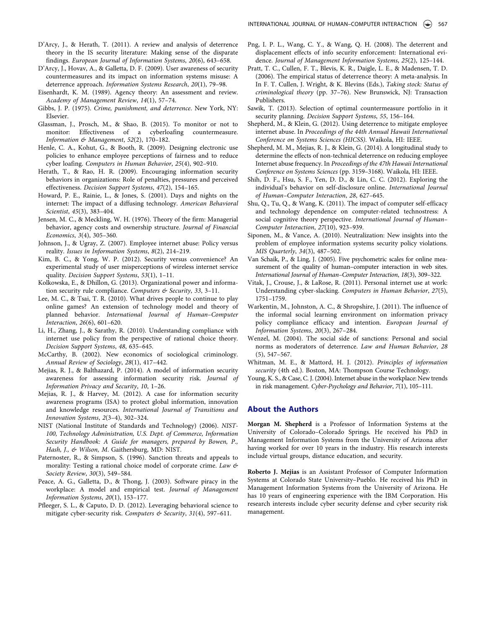- <span id="page-10-20"></span>D'Arcy, J., & Herath, T. (2011). A review and analysis of deterrence theory in the IS security literature: Making sense of the disparate findings. European Journal of Information Systems, 20(6), 643–658.
- <span id="page-10-18"></span>D'Arcy, J., Hovav, A., & Galletta, D. F. (2009). User awareness of security countermeasures and its impact on information systems misuse: A deterrence approach. Information Systems Research, 20(1), 79–98.
- <span id="page-10-21"></span>Eisenhardt, K. M. (1989). Agency theory: An assessment and review. Academy of Management Review, 14(1), 57–74.
- <span id="page-10-23"></span>Gibbs, J. P. (1975). Crime, punishment, and deterrence. New York, NY: Elsevier.
- <span id="page-10-3"></span>Glassman, J., Prosch, M., & Shao, B. (2015). To monitor or not to monitor: Effectiveness of a cyberloafing countermeasure. Information & Management, 52(2), 170–182.
- <span id="page-10-4"></span>Henle, C. A., Kohut, G., & Booth, R. (2009). Designing electronic use policies to enhance employee perceptions of fairness and to reduce cyber loafing. Computers in Human Behavior, 25(4), 902–910.
- <span id="page-10-19"></span>Herath, T., & Rao, H. R. (2009). Encouraging information security behaviors in organizations: Role of penalties, pressures and perceived effectiveness. Decision Support Systems, 47(2), 154–165.
- <span id="page-10-0"></span>Howard, P. E., Rainie, L., & Jones, S. (2001). Days and nights on the internet: The impact of a diffusing technology. American Behavioral Scientist, 45(3), 383–404.
- <span id="page-10-22"></span>Jensen, M. C., & Meckling, W. H. (1976). Theory of the firm: Managerial behavior, agency costs and ownership structure. Journal of Financial Economics, 3(4), 305–360.
- <span id="page-10-32"></span>Johnson, J., & Ugray, Z. (2007). Employee internet abuse: Policy versus reality. Issues in Information Systems, 8(2), 214–219.
- <span id="page-10-12"></span>Kim, B. C., & Yong, W. P. (2012). Security versus convenience? An experimental study of user misperceptions of wireless internet service quality. Decision Support Systems, 53(1), 1–11.
- <span id="page-10-11"></span>Kolkowska, E., & Dhillon, G. (2013). Organizational power and information security rule compliance. Computers & Security, 33, 3-11.
- <span id="page-10-6"></span>Lee, M. C., & Tsai, T. R. (2010). What drives people to continue to play online games? An extension of technology model and theory of planned behavior. International Journal of Human–Computer Interaction, 26(6), 601–620.
- <span id="page-10-27"></span>Li, H., Zhang, J., & Sarathy, R. (2010). Understanding compliance with internet use policy from the perspective of rational choice theory. Decision Support Systems, 48, 635–645.
- <span id="page-10-30"></span>McCarthy, B. (2002). New economics of sociological criminology. Annual Review of Sociology, 28(1), 417–442.
- <span id="page-10-16"></span>Mejias, R. J., & Balthazard, P. (2014). A model of information security awareness for assessing information security risk. Journal of Information Privacy and Security, 10, 1–26.
- <span id="page-10-17"></span>Mejias, R. J., & Harvey, M. (2012). A case for information security awareness programs (ISA) to protect global information, innovation and knowledge resources. International Journal of Transitions and Innovation Systems, 2(3–4), 302–324.
- NIST (National Institute of Standards and Technology) (2006). NIST-100, Technology Administration, U.S. Dept. of Commerce, Information Security Handbook: A Guide for managers, prepared by Bowen, P., Hash, J., & Wilson, M. Gaithersburg, MD: NIST.
- <span id="page-10-25"></span>Paternoster, R., & Simpson, S. (1996). Sanction threats and appeals to morality: Testing a rational choice model of corporate crime. Law & Society Review, 30(3), 549–584.
- <span id="page-10-33"></span>Peace, A. G., Galletta, D., & Thong, J. (2003). Software piracy in the workplace: A model and empirical test. Journal of Management Information Systems, 20(1), 153–177.
- <span id="page-10-13"></span>Pfleeger, S. L., & Caputo, D. D. (2012). Leveraging behavioral science to mitigate cyber-security risk. Computers & Security, 31(4), 597-611.
- <span id="page-10-31"></span>Png, I. P. L., Wang, C. Y., & Wang, Q. H. (2008). The deterrent and displacement effects of info security enforcement: International evidence. Journal of Management Information Systems, 25(2), 125–144.
- <span id="page-10-24"></span>Pratt, T. C., Cullen, F. T., Blevis, K. R., Daigle, L. E., & Madensen, T. D. (2006). The empirical status of deterrence theory: A meta-analysis. In In F. T. Cullen, J. Wright, & K. Blevins (Eds.), Taking stock: Status of criminological theory (pp. 37–76). New Brunswick, NJ: Transaction Publishers.
- <span id="page-10-28"></span>Sawik, T. (2013). Selection of optimal countermeasure portfolio in it security planning. Decision Support Systems, 55, 156–164.
- <span id="page-10-15"></span>Shepherd, M., & Klein, G. (2012). Using deterrence to mitigate employee internet abuse. In Proceedings of the 44th Annual Hawaii International Conference on Systems Sciences (HICSS). Waikola, HI: IEEE.
- <span id="page-10-7"></span>Shepherd, M. M., Mejias, R. J., & Klein, G. (2014). A longitudinal study to determine the effects of non-technical deterrence on reducing employee Internet abuse frequency. In Proceedings of the 47th Hawaii International Conference on Systems Sciences (pp. 3159–3168). Waikola, HI: IEEE.
- <span id="page-10-8"></span>Shih, D. F., Hsu, S. F., Yen, D. D., & Lin, C. C. (2012). Exploring the individual's behavior on self-disclosure online. International Journal of Human–Computer Interaction, 28, 627–645.
- <span id="page-10-1"></span>Shu, Q., Tu, Q., & Wang, K. (2011). The impact of computer self-efficacy and technology dependence on computer-related technostress: A social cognitive theory perspective. International Journal of Human– Computer Interaction, 27(10), 923–939.
- <span id="page-10-9"></span>Siponen, M., & Vance, A. (2010). Neutralization: New insights into the problem of employee information systems security policy violations. MIS Quarterly, 34(3), 487–502.
- <span id="page-10-2"></span>Van Schaik, P., & Ling, J. (2005). Five psychometric scales for online measurement of the quality of human–computer interaction in web sites. International Journal of Human–Computer Interaction, 18(3), 309–322.
- <span id="page-10-5"></span>Vitak, J., Crouse, J., & LaRose, R. (2011). Personal internet use at work: Understanding cyber-slacking. Computers in Human Behavior, 27(5), 1751–1759.
- <span id="page-10-14"></span>Warkentin, M., Johnston, A. C., & Shropshire, J. (2011). The influence of the informal social learning environment on information privacy policy compliance efficacy and intention. European Journal of Information Systems, 20(3), 267–284.
- <span id="page-10-26"></span>Wenzel, M. (2004). The social side of sanctions: Personal and social norms as moderators of deterrence. Law and Human Behavior, 28 (5), 547–567.
- <span id="page-10-29"></span>Whitman, M. E., & Mattord, H. J. (2012). Principles of information security (4th ed.). Boston, MA: Thompson Course Technology.
- <span id="page-10-10"></span>Young, K. S., & Case, C. J. (2004). Internet abuse in the workplace: New trends in risk management. Cyber-Psychology and Behavior, 7(1), 105–111.

## About the Authors

Morgan M. Shepherd is a Professor of Information Systems at the University of Colorado–Colorado Springs. He received his PhD in Management Information Systems from the University of Arizona after having worked for over 10 years in the industry. His research interests include virtual groups, distance education, and security.

Roberto J. Mejias is an Assistant Professor of Computer Information Systems at Colorado State University–Pueblo. He received his PhD in Management Information Systems from the University of Arizona. He has 10 years of engineering experience with the IBM Corporation. His research interests include cyber security defense and cyber security risk management.